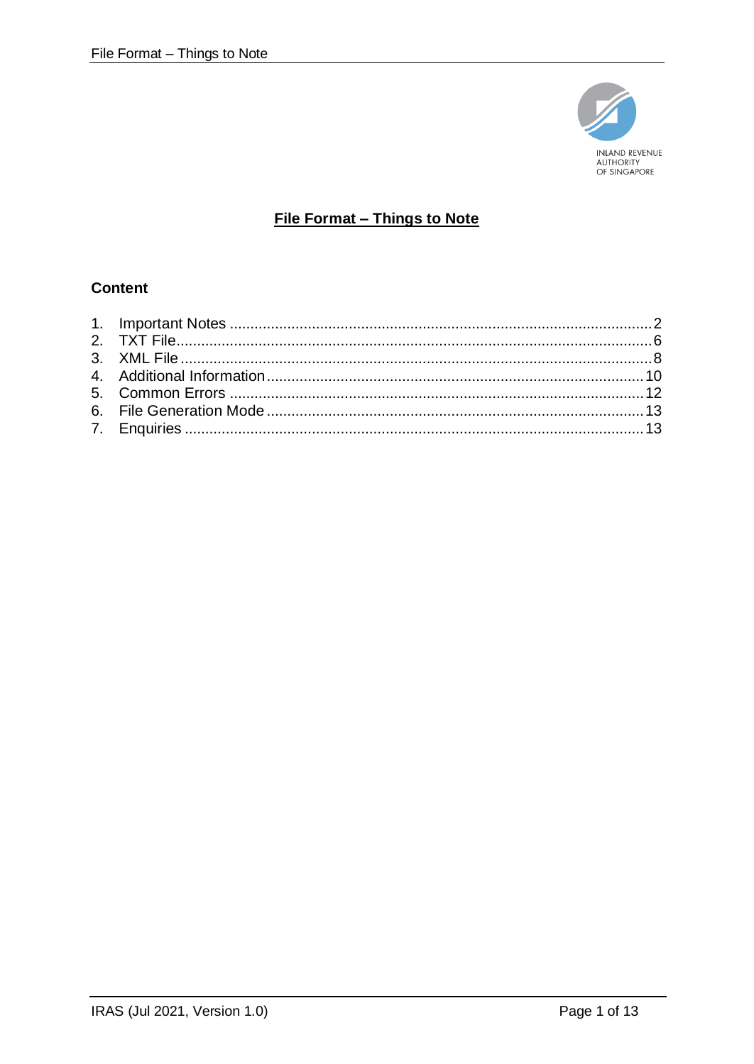

# File Format - Things to Note

# **Content**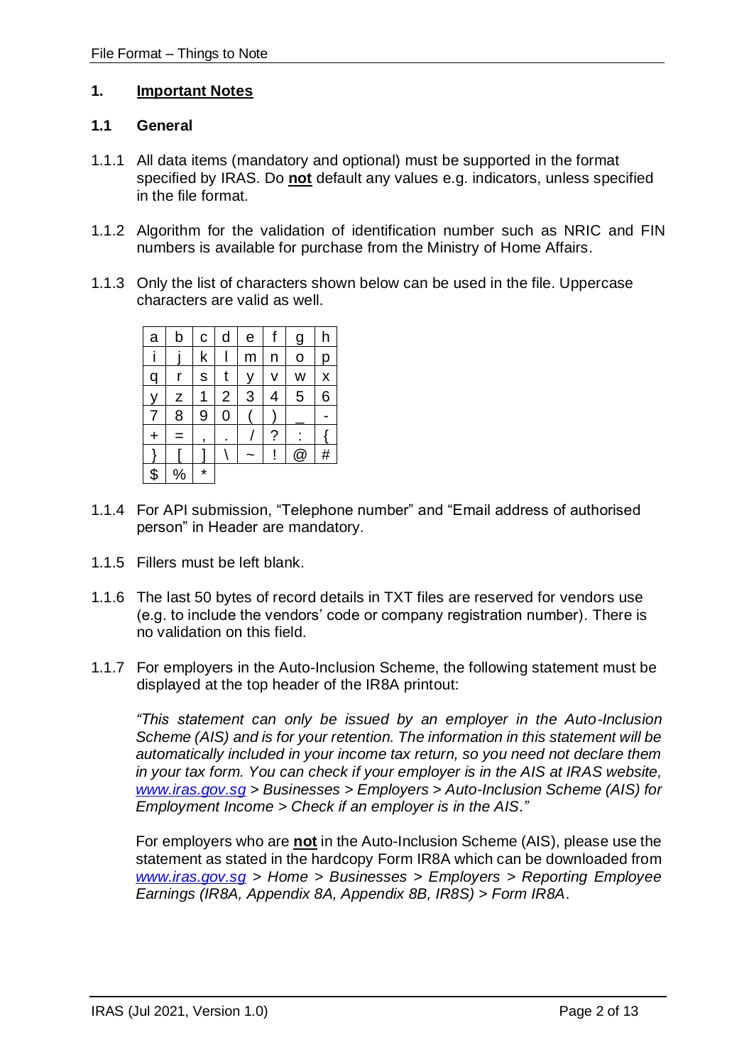#### <span id="page-1-0"></span>**1. Important Notes**

#### **1.1 General**

- 1.1.1 All data items (mandatory and optional) must be supported in the format specified by IRAS. Do **not** default any values e.g. indicators, unless specified in the file format.
- 1.1.2 Algorithm for the validation of identification number such as NRIC and FIN numbers is available for purchase from the Ministry of Home Affairs.
- 1.1.3 Only the list of characters shown below can be used in the file. Uppercase characters are valid as well.

| a         | b             | C       | d              | е | f | <u>g</u> | h |
|-----------|---------------|---------|----------------|---|---|----------|---|
|           |               | k       |                | m | n | O        | р |
| q         | r             | S       | t              | у | ۷ | W        | X |
| y         | Z             | 1       | $\overline{2}$ | 3 | 4 | 5        | 6 |
| 7         | 8             | 9       | 0              |   |   |          |   |
| $\ddot{}$ | =             | ,       |                |   | ? |          |   |
|           |               |         |                |   |   | @        | # |
| \$        | $\frac{0}{2}$ | $\star$ |                |   |   |          |   |

- 1.1.4 For API submission, "Telephone number" and "Email address of authorised person" in Header are mandatory.
- 1.1.5 Fillers must be left blank.
- 1.1.6 The last 50 bytes of record details in TXT files are reserved for vendors use (e.g. to include the vendors' code or company registration number). There is no validation on this field.
- 1.1.7 For employers in the Auto-Inclusion Scheme, the following statement must be displayed at the top header of the IR8A printout:

*"This statement can only be issued by an employer in the Auto-Inclusion Scheme (AIS) and is for your retention. The information in this statement will be automatically included in your income tax return, so you need not declare them in your tax form. You can check if your employer is in the AIS at IRAS website, [www.iras.gov.sg](http://www.iras.gov.sg/) > Businesses > Employers > Auto-Inclusion Scheme (AIS) for Employment Income > Check if an employer is in the AIS*.*"* 

For employers who are **not** in the Auto-Inclusion Scheme (AIS), please use the statement as stated in the hardcopy Form IR8A which can be downloaded from *[www.iras.gov.sg](http://www.iras.gov.sg/) > Home > Businesses > Employers > Reporting Employee Earnings (IR8A, Appendix 8A, Appendix 8B, IR8S) > Form IR8A*.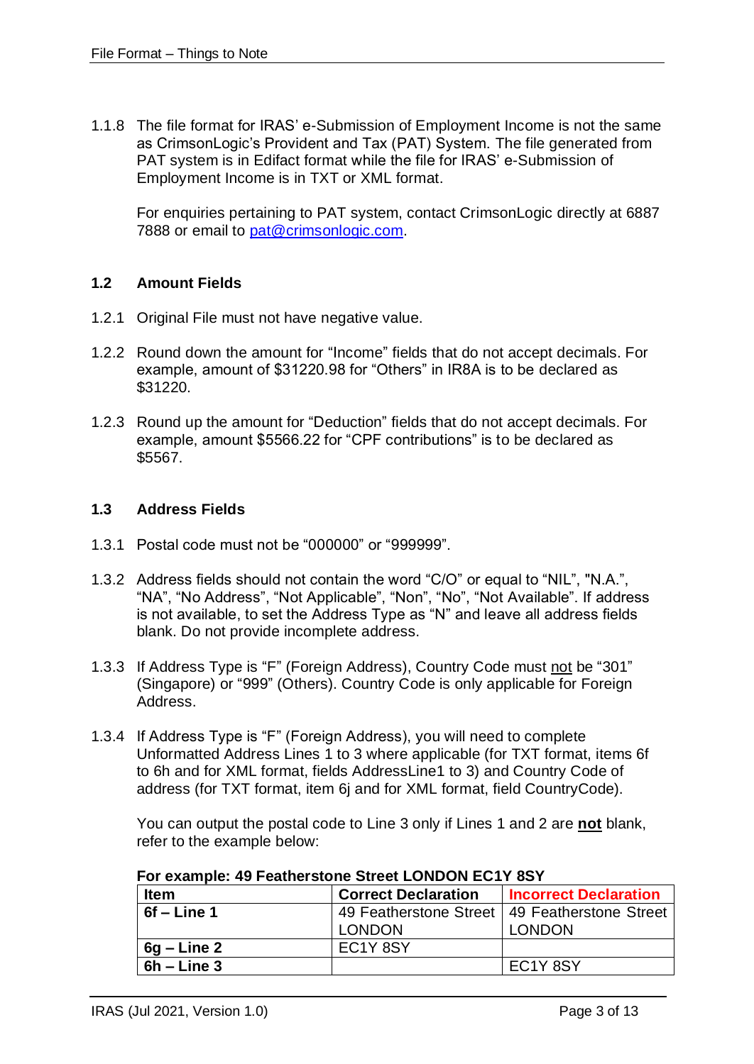1.1.8 The file format for IRAS' e-Submission of Employment Income is not the same as CrimsonLogic's Provident and Tax (PAT) System. The file generated from PAT system is in Edifact format while the file for IRAS' e-Submission of Employment Income is in TXT or XML format.

For enquiries pertaining to PAT system, contact CrimsonLogic directly at 6887 7888 or email to [pat@crimsonlogic.com.](mailto:pat@crimsonlogic.com)

# **1.2 Amount Fields**

- 1.2.1 Original File must not have negative value.
- 1.2.2 Round down the amount for "Income" fields that do not accept decimals. For example, amount of \$31220.98 for "Others" in IR8A is to be declared as \$31220.
- 1.2.3 Round up the amount for "Deduction" fields that do not accept decimals. For example, amount \$5566.22 for "CPF contributions" is to be declared as \$5567.

### **1.3 Address Fields**

- 1.3.1 Postal code must not be "000000" or "999999".
- 1.3.2 Address fields should not contain the word "C/O" or equal to "NIL", "N.A.", "NA", "No Address", "Not Applicable", "Non", "No", "Not Available". If address is not available, to set the Address Type as "N" and leave all address fields blank. Do not provide incomplete address.
- 1.3.3 If Address Type is "F" (Foreign Address), Country Code must not be "301" (Singapore) or "999" (Others). Country Code is only applicable for Foreign Address.
- 1.3.4 If Address Type is "F" (Foreign Address), you will need to complete Unformatted Address Lines 1 to 3 where applicable (for TXT format, items 6f to 6h and for XML format, fields AddressLine1 to 3) and Country Code of address (for TXT format, item 6j and for XML format, field CountryCode).

You can output the postal code to Line 3 only if Lines 1 and 2 are **not** blank, refer to the example below:

| <b>Item</b>   | <b>Correct Declaration</b>        | <b>Incorrect Declaration</b>                    |  |  |
|---------------|-----------------------------------|-------------------------------------------------|--|--|
| $6f$ – Line 1 |                                   | 49 Featherstone Street   49 Featherstone Street |  |  |
|               | <b>LONDON</b>                     | <b>LONDON</b>                                   |  |  |
| $6g$ – Line 2 | EC <sub>1</sub> Y <sub>8</sub> SY |                                                 |  |  |
| $6h$ – Line 3 |                                   | EC <sub>1</sub> Y <sub>8</sub> SY               |  |  |

**For example: 49 Featherstone Street LONDON EC1Y 8SY**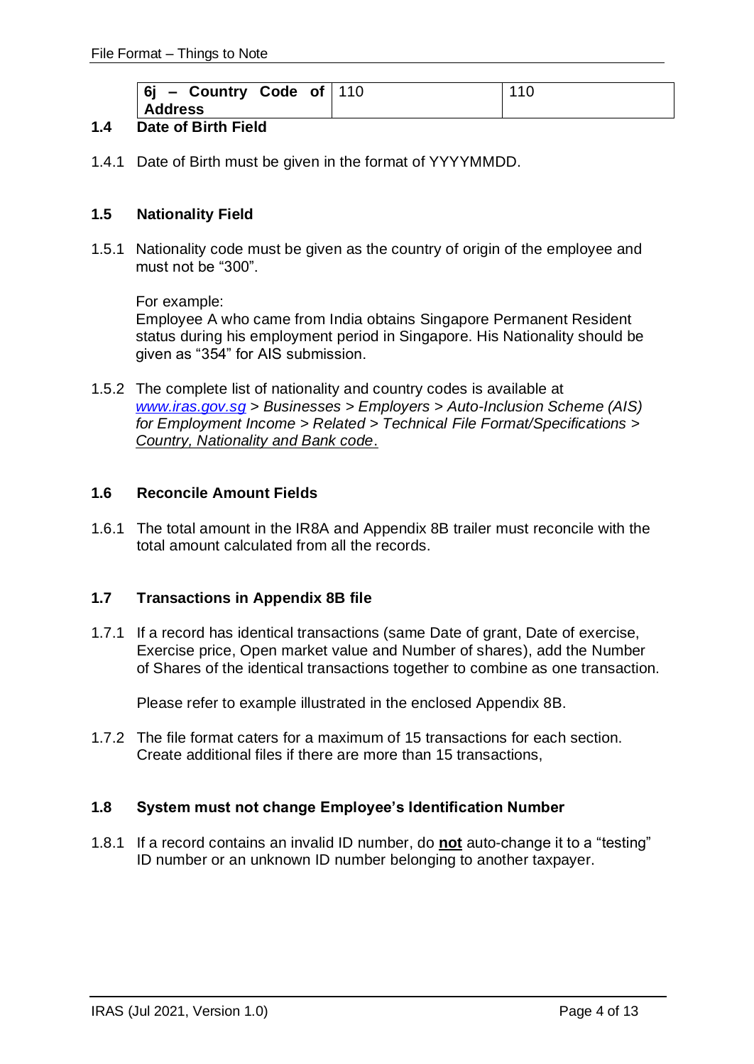| $ 6j -$ Country Code of 110 | 110 |
|-----------------------------|-----|
| <b>Address</b>              |     |

# **1.4 Date of Birth Field**

1.4.1 Date of Birth must be given in the format of YYYYMMDD.

# **1.5 Nationality Field**

1.5.1 Nationality code must be given as the country of origin of the employee and must not be "300".

For example:

Employee A who came from India obtains Singapore Permanent Resident status during his employment period in Singapore. His Nationality should be given as "354" for AIS submission.

1.5.2 The complete list of nationality and country codes is available at *[www.iras.gov.sg](http://www.iras.gov.sg/) > Businesses > Employers > Auto-Inclusion Scheme (AIS) for Employment Income > Related > Technical File Format/Specifications > Country, Nationality and Bank code*.

### **1.6 Reconcile Amount Fields**

1.6.1 The total amount in the IR8A and Appendix 8B trailer must reconcile with the total amount calculated from all the records.

### **1.7 Transactions in Appendix 8B file**

1.7.1 If a record has identical transactions (same Date of grant, Date of exercise, Exercise price, Open market value and Number of shares), add the Number of Shares of the identical transactions together to combine as one transaction.

Please refer to example illustrated in the enclosed Appendix 8B.

1.7.2 The file format caters for a maximum of 15 transactions for each section. Create additional files if there are more than 15 transactions,

### **1.8 System must not change Employee's Identification Number**

1.8.1 If a record contains an invalid ID number, do **not** auto-change it to a "testing" ID number or an unknown ID number belonging to another taxpayer.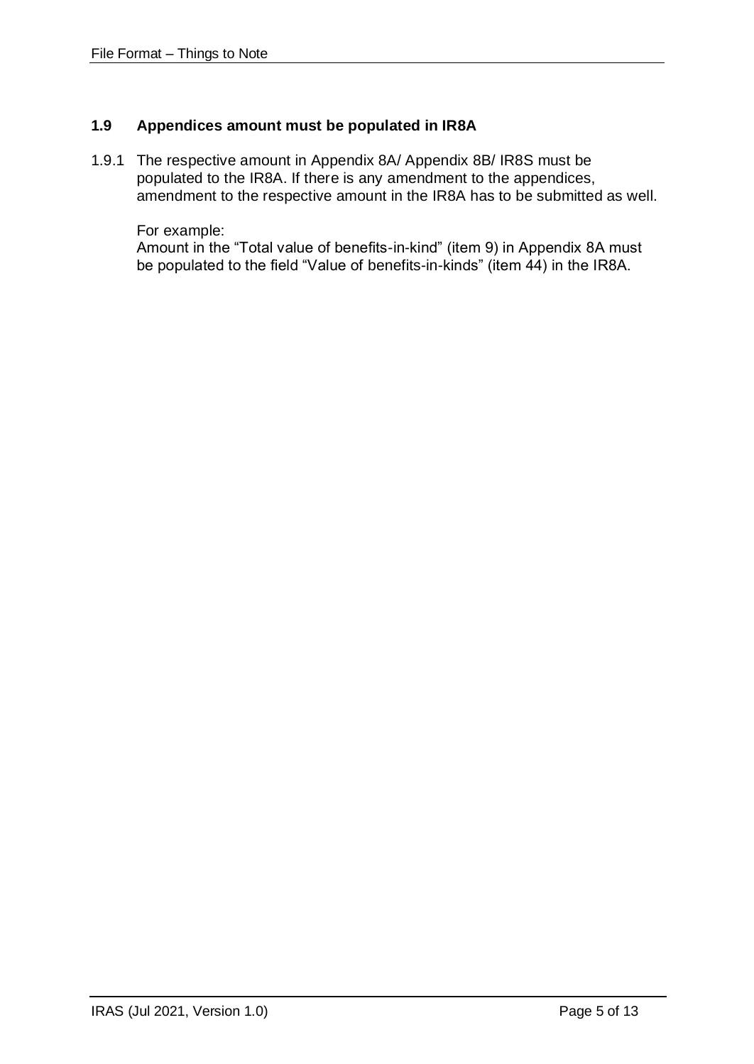# **1.9 Appendices amount must be populated in IR8A**

1.9.1 The respective amount in Appendix 8A/ Appendix 8B/ IR8S must be populated to the IR8A. If there is any amendment to the appendices, amendment to the respective amount in the IR8A has to be submitted as well.

For example:

Amount in the "Total value of benefits-in-kind" (item 9) in Appendix 8A must be populated to the field "Value of benefits-in-kinds" (item 44) in the IR8A.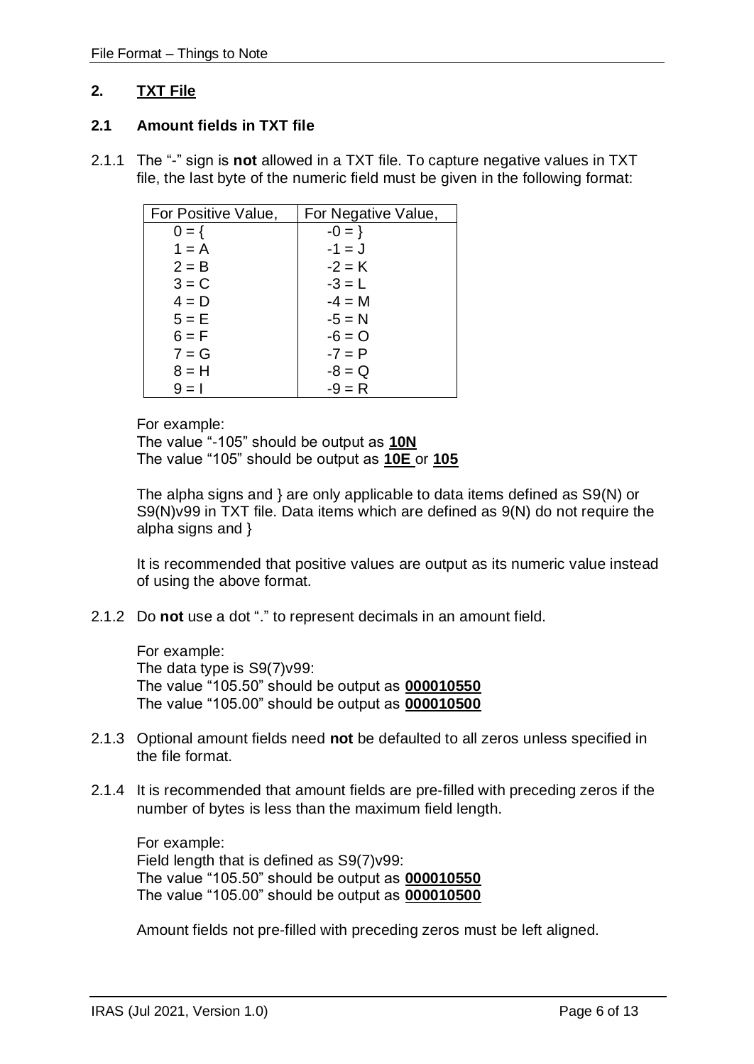# <span id="page-5-0"></span>**2. TXT File**

#### **2.1 Amount fields in TXT file**

2.1.1 The "-" sign is **not** allowed in a TXT file. To capture negative values in TXT file, the last byte of the numeric field must be given in the following format:

| For Positive Value, | For Negative Value, |
|---------------------|---------------------|
| $0 = \{$            | $-0 = \}$           |
| $1 = A$             | $-1 = J$            |
| $2 = B$             | $-2 = K$            |
| $3 = C$             | $-3 = L$            |
| $4 = D$             | $-4 = M$            |
| $5 = E$             | $-5 = N$            |
| $6 = F$             | $-6 = 0$            |
| $7 = G$             | $-7 = P$            |
| $8 = H$             | $-8 = Q$            |
| $9 = 1$             | $-9 = R$            |

For example:

The value "-105" should be output as **10N**  The value "105" should be output as **10E** or **105**

The alpha signs and } are only applicable to data items defined as S9(N) or S9(N)v99 in TXT file. Data items which are defined as 9(N) do not require the alpha signs and }

It is recommended that positive values are output as its numeric value instead of using the above format.

2.1.2 Do **not** use a dot "." to represent decimals in an amount field.

For example: The data type is S9(7)v99: The value "105.50" should be output as **000010550** The value "105.00" should be output as **000010500**

- 2.1.3 Optional amount fields need **not** be defaulted to all zeros unless specified in the file format.
- 2.1.4 It is recommended that amount fields are pre-filled with preceding zeros if the number of bytes is less than the maximum field length.

For example: Field length that is defined as S9(7)v99: The value "105.50" should be output as **000010550** The value "105.00" should be output as **000010500**

Amount fields not pre-filled with preceding zeros must be left aligned.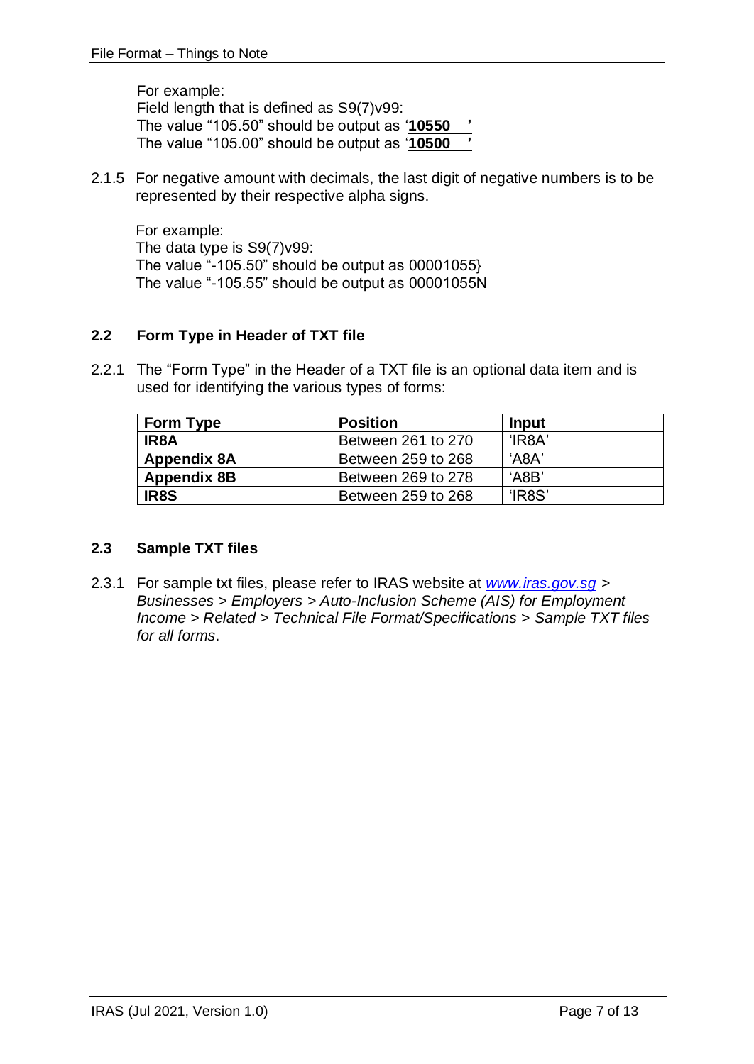For example: Field length that is defined as S9(7)v99: The value "105.50" should be output as '**10550 '** The value "105.00" should be output as '**10500 '**

2.1.5 For negative amount with decimals, the last digit of negative numbers is to be represented by their respective alpha signs.

For example: The data type is S9(7)v99: The value "-105.50" should be output as  $00001055$ The value "-105.55" should be output as 00001055N

# **2.2 Form Type in Header of TXT file**

2.2.1 The "Form Type" in the Header of a TXT file is an optional data item and is used for identifying the various types of forms:

| <b>Form Type</b>   | <b>Position</b>    | Input      |
|--------------------|--------------------|------------|
| IR8A               | Between 261 to 270 | $H$ R $8A$ |
| <b>Appendix 8A</b> | Between 259 to 268 | 'A8A'      |
| <b>Appendix 8B</b> | Between 269 to 278 | 'ABB'      |
| IR8S               | Between 259 to 268 | 'IR8S'     |

### **2.3 Sample TXT files**

2.3.1 For sample txt files, please refer to IRAS website at *[www.iras.gov.sg](http://www.iras.gov.sg/) > Businesses > Employers > Auto-Inclusion Scheme (AIS) for Employment Income > Related > Technical File Format/Specifications > Sample TXT files for all forms*.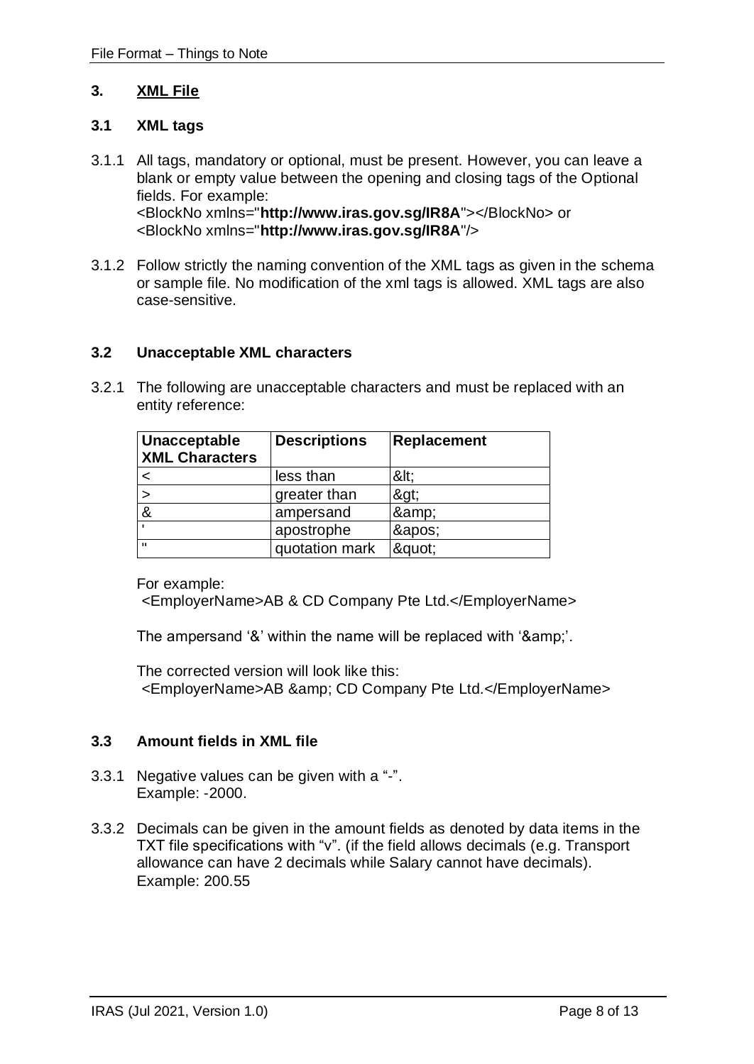#### <span id="page-7-0"></span>**3. XML File**

#### **3.1 XML tags**

- 3.1.1 All tags, mandatory or optional, must be present. However, you can leave a blank or empty value between the opening and closing tags of the Optional fields. For example: <BlockNo xmlns="**http://www.iras.gov.sg/IR8A**"></BlockNo> or <BlockNo xmlns="**http://www.iras.gov.sg/IR8A**"/>
- 3.1.2 Follow strictly the naming convention of the XML tags as given in the schema or sample file. No modification of the xml tags is allowed. XML tags are also case-sensitive.

#### **3.2 Unacceptable XML characters**

3.2.1 The following are unacceptable characters and must be replaced with an entity reference:

| Unacceptable<br><b>XML Characters</b> | <b>Descriptions</b> | Replacement |
|---------------------------------------|---------------------|-------------|
|                                       | less than           | <           |
|                                       | greater than        | >           |
| &                                     | ampersand           | &           |
|                                       | apostrophe          | '           |
| $\mathbf{u}$                          | quotation mark      | ":          |

For example:

<EmployerName>AB & CD Company Pte Ltd.</EmployerName>

The ampersand '&' within the name will be replaced with '&'.

The corrected version will look like this: <EmployerName>AB & amp; CD Company Pte Ltd.</EmployerName>

### **3.3 Amount fields in XML file**

- 3.3.1 Negative values can be given with a "-". Example: -2000.
- 3.3.2 Decimals can be given in the amount fields as denoted by data items in the TXT file specifications with "v". (if the field allows decimals (e.g. Transport allowance can have 2 decimals while Salary cannot have decimals). Example: 200.55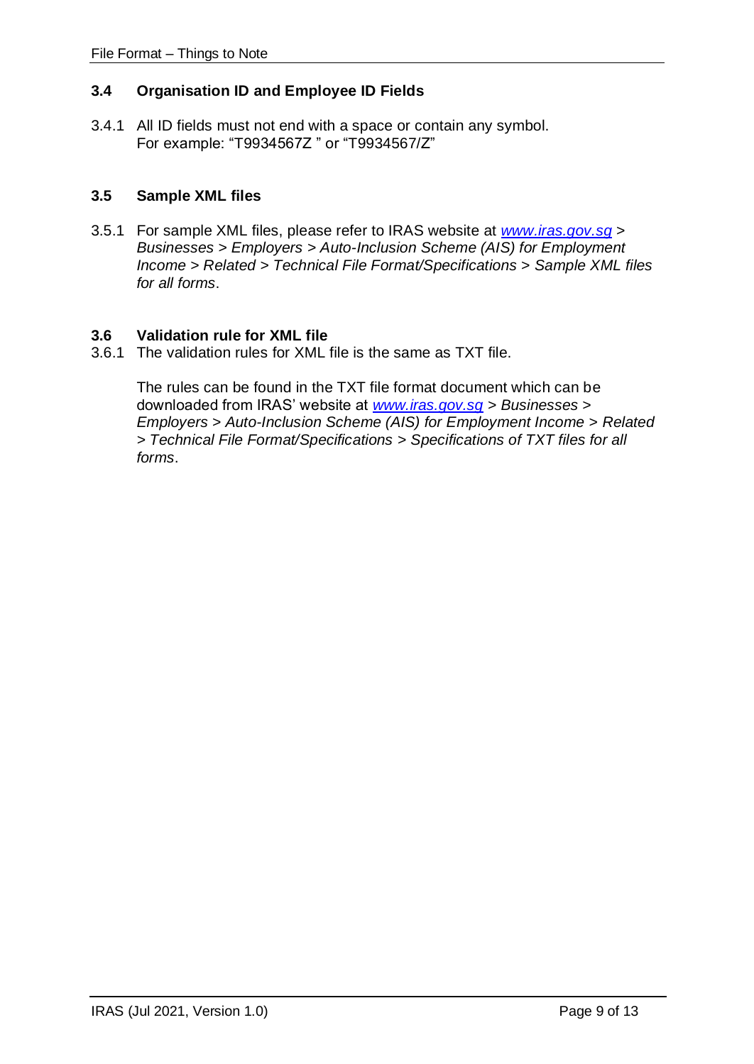# **3.4 Organisation ID and Employee ID Fields**

3.4.1 All ID fields must not end with a space or contain any symbol. For example: "T9934567Z " or "T9934567/Z"

## **3.5 Sample XML files**

3.5.1 For sample XML files, please refer to IRAS website at *[www.iras.gov.sg](http://www.iras.gov.sg/) > Businesses > Employers > Auto-Inclusion Scheme (AIS) for Employment Income > Related > Technical File Format/Specifications > Sample XML files for all forms*.

### **3.6 Validation rule for XML file**

3.6.1 The validation rules for XML file is the same as TXT file.

The rules can be found in the TXT file format document which can be downloaded from IRAS' website at *[www.iras.gov.sg](http://www.iras.gov.sg/) > Businesses > Employers > Auto-Inclusion Scheme (AIS) for Employment Income > Related > Technical File Format/Specifications > Specifications of TXT files for all forms*.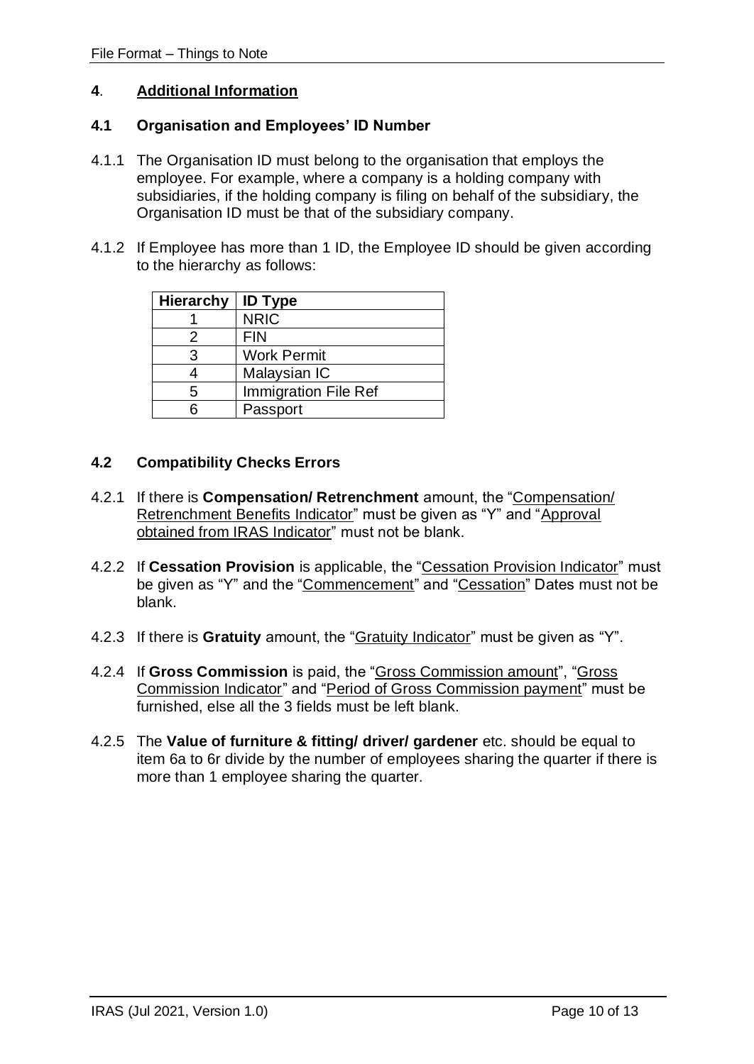#### <span id="page-9-0"></span>**4**. **Additional Information**

#### **4.1 Organisation and Employees' ID Number**

- 4.1.1 The Organisation ID must belong to the organisation that employs the employee. For example, where a company is a holding company with subsidiaries, if the holding company is filing on behalf of the subsidiary, the Organisation ID must be that of the subsidiary company.
- 4.1.2 If Employee has more than 1 ID, the Employee ID should be given according to the hierarchy as follows:

| <b>Hierarchy</b> | <b>ID Type</b>              |
|------------------|-----------------------------|
|                  | <b>NRIC</b>                 |
| 2                | <b>FIN</b>                  |
| 3                | <b>Work Permit</b>          |
|                  | Malaysian IC                |
| 5                | <b>Immigration File Ref</b> |
|                  | Passport                    |

### **4.2 Compatibility Checks Errors**

- 4.2.1 If there is **Compensation/ Retrenchment** amount, the "Compensation/ Retrenchment Benefits Indicator" must be given as "Y" and "Approval obtained from IRAS Indicator" must not be blank.
- 4.2.2 If **Cessation Provision** is applicable, the "Cessation Provision Indicator" must be given as "Y" and the "Commencement" and "Cessation" Dates must not be blank.
- 4.2.3 If there is **Gratuity** amount, the "Gratuity Indicator" must be given as "Y".
- 4.2.4 If **Gross Commission** is paid, the "Gross Commission amount", "Gross Commission Indicator" and "Period of Gross Commission payment" must be furnished, else all the 3 fields must be left blank.
- 4.2.5 The **Value of furniture & fitting/ driver/ gardener** etc. should be equal to item 6a to 6r divide by the number of employees sharing the quarter if there is more than 1 employee sharing the quarter.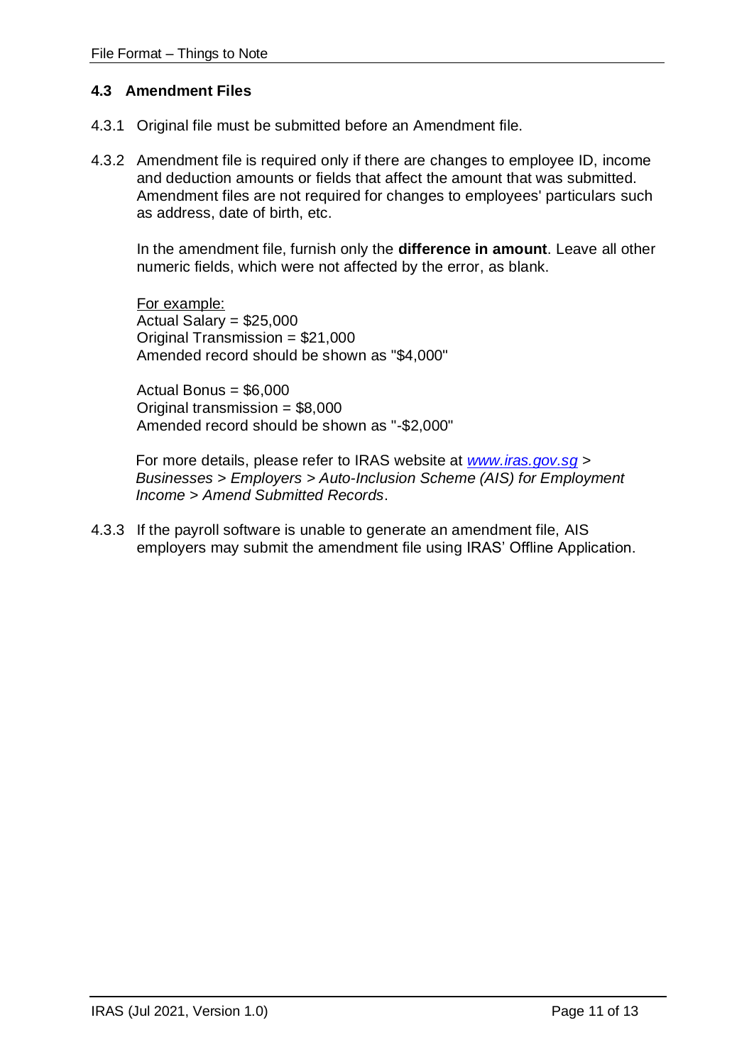#### **4.3 Amendment Files**

- 4.3.1 Original file must be submitted before an Amendment file.
- 4.3.2 Amendment file is required only if there are changes to employee ID, income and deduction amounts or fields that affect the amount that was submitted. Amendment files are not required for changes to employees' particulars such as address, date of birth, etc.

In the amendment file, furnish only the **difference in amount**. Leave all other numeric fields, which were not affected by the error, as blank.

For example: Actual Salary = \$25,000 Original Transmission = \$21,000 Amended record should be shown as "\$4,000"

Actual Bonus = \$6,000 Original transmission = \$8,000 Amended record should be shown as "-\$2,000"

For more details, please refer to IRAS website at *[www.iras.gov.sg](http://www.iras.gov.sg/) > Businesses > Employers > Auto-Inclusion Scheme (AIS) for Employment Income > Amend Submitted Records*.

4.3.3 If the payroll software is unable to generate an amendment file, AIS employers may submit the amendment file using IRAS' Offline Application.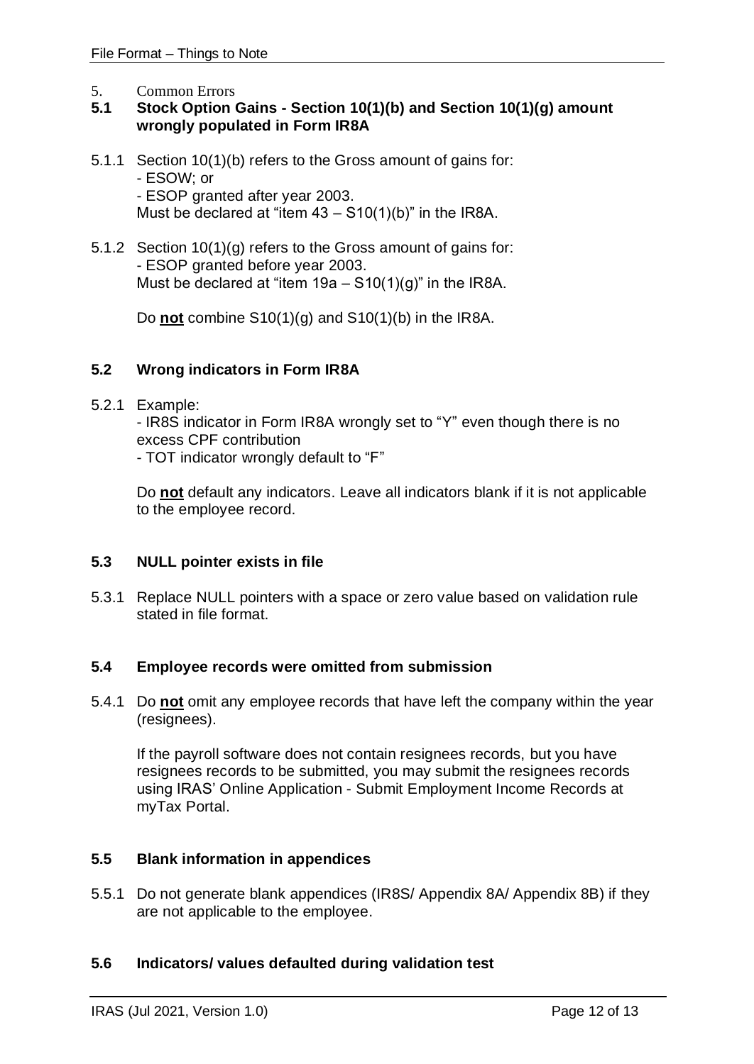<span id="page-11-0"></span>5. Common Errors

# **5.1 Stock Option Gains - Section 10(1)(b) and Section 10(1)(g) amount wrongly populated in Form IR8A**

- 5.1.1 Section 10(1)(b) refers to the Gross amount of gains for: - ESOW; or - ESOP granted after year 2003. Must be declared at "item  $43 - S10(1)(b)$ " in the IR8A.
- 5.1.2 Section 10(1)(g) refers to the Gross amount of gains for: - ESOP granted before year 2003. Must be declared at "item  $19a - S10(1)(g)$ " in the IR8A.

Do **not** combine S10(1)(g) and S10(1)(b) in the IR8A.

# **5.2 Wrong indicators in Form IR8A**

5.2.1 Example:

- IR8S indicator in Form IR8A wrongly set to "Y" even though there is no excess CPF contribution

- TOT indicator wrongly default to "F"

Do **not** default any indicators. Leave all indicators blank if it is not applicable to the employee record.

# **5.3 NULL pointer exists in file**

5.3.1 Replace NULL pointers with a space or zero value based on validation rule stated in file format.

### **5.4 Employee records were omitted from submission**

5.4.1 Do **not** omit any employee records that have left the company within the year (resignees).

If the payroll software does not contain resignees records, but you have resignees records to be submitted, you may submit the resignees records using IRAS' Online Application - Submit Employment Income Records at myTax Portal.

# **5.5 Blank information in appendices**

5.5.1 Do not generate blank appendices (IR8S/ Appendix 8A/ Appendix 8B) if they are not applicable to the employee.

### **5.6 Indicators/ values defaulted during validation test**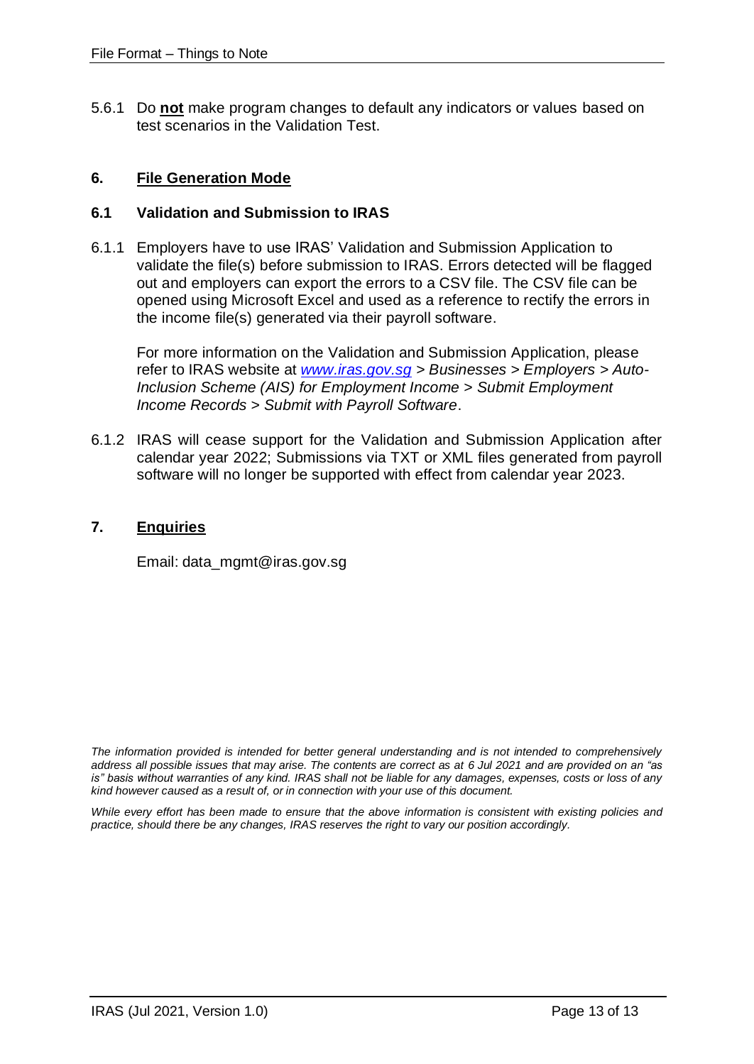5.6.1 Do **not** make program changes to default any indicators or values based on test scenarios in the Validation Test.

### <span id="page-12-0"></span>**6. File Generation Mode**

#### **6.1 Validation and Submission to IRAS**

6.1.1 Employers have to use IRAS' Validation and Submission Application to validate the file(s) before submission to IRAS. Errors detected will be flagged out and employers can export the errors to a CSV file. The CSV file can be opened using Microsoft Excel and used as a reference to rectify the errors in the income file(s) generated via their payroll software.

For more information on the Validation and Submission Application, please refer to IRAS website at *[www.iras.gov.sg](http://www.iras.gov.sg/) > Businesses > Employers > Auto-Inclusion Scheme (AIS) for Employment Income > Submit Employment Income Records > Submit with Payroll Software*.

6.1.2 IRAS will cease support for the Validation and Submission Application after calendar year 2022; Submissions via TXT or XML files generated from payroll software will no longer be supported with effect from calendar year 2023.

#### <span id="page-12-1"></span>**7. Enquiries**

Email: data\_mgmt@iras.gov.sg

*The information provided is intended for better general understanding and is not intended to comprehensively address all possible issues that may arise. The contents are correct as at 6 Jul 2021 and are provided on an "as is" basis without warranties of any kind. IRAS shall not be liable for any damages, expenses, costs or loss of any kind however caused as a result of, or in connection with your use of this document.*

*While every effort has been made to ensure that the above information is consistent with existing policies and practice, should there be any changes, IRAS reserves the right to vary our position accordingly.*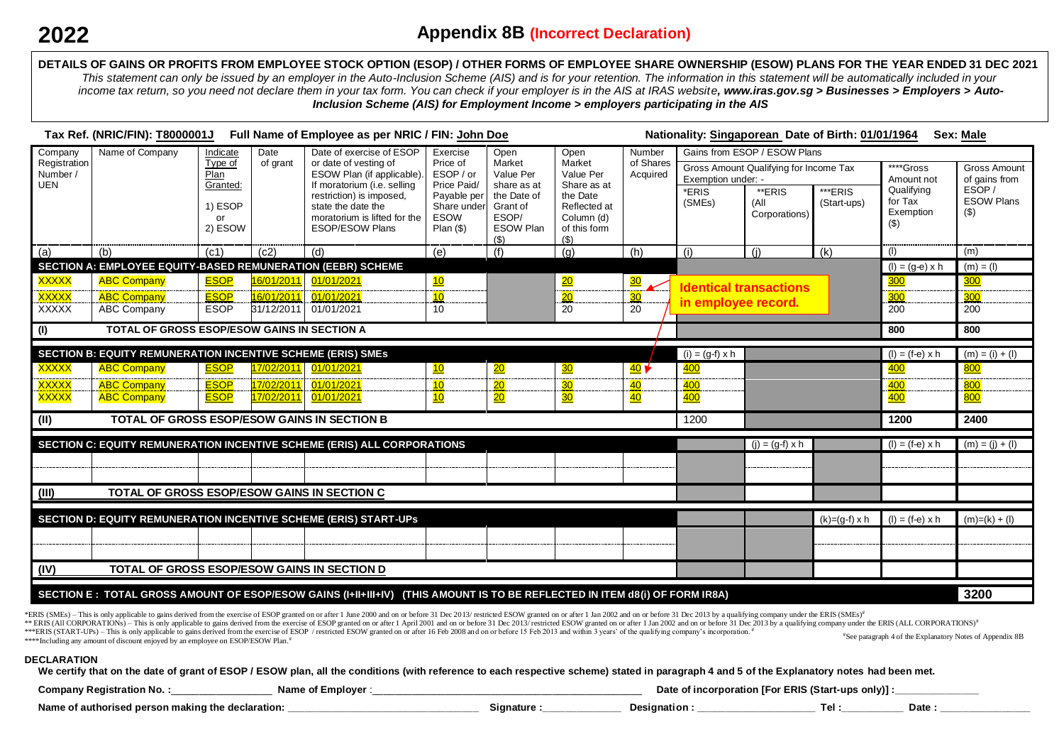**DETAILS OF GAINS OR PROFITS FROM EMPLOYEE STOCK OPTION (ESOP) / OTHER FORMS OF EMPLOYEE SHARE OWNERSHIP (ESOW) PLANS FOR THE YEAR ENDED 31 DEC 2021** *This statement can only be issued by an employer in the Auto-Inclusion Scheme (AIS) and is for your retention. The information in this statement will be automatically included in your* income tax return, so you need not declare them in your tax form. You can check if your employer is in the AIS at IRAS website, www.iras.gov.sg > Businesses > Employers > Auto-*Inclusion Scheme (AIS) for Employment Income > employers participating in the AIS*

|                                        | Tax Ref. (NRIC/FIN): T8000001J                                                                                             |                             |            | Full Name of Employee as per NRIC / FIN: John Doe                                 |                                                                    |                           |                                    |                                 |                                                              | Nationality: Singaporean Date of Birth: 01/01/1964 |                        |                         | <b>Sex: Male</b>                     |
|----------------------------------------|----------------------------------------------------------------------------------------------------------------------------|-----------------------------|------------|-----------------------------------------------------------------------------------|--------------------------------------------------------------------|---------------------------|------------------------------------|---------------------------------|--------------------------------------------------------------|----------------------------------------------------|------------------------|-------------------------|--------------------------------------|
| Company                                | Name of Company                                                                                                            | Indicate                    | Date       | Date of exercise of ESOP                                                          | Exercise<br>Open<br>Price of<br>Market<br>ESOP / or<br>Price Paid/ |                           | Open                               | Number<br>of Shares<br>Acquired | Gains from ESOP / ESOW Plans                                 |                                                    |                        |                         |                                      |
| Registration<br>Number /<br><b>UEN</b> |                                                                                                                            | Type of<br>Plan<br>Granted: | of grant   | or date of vesting of<br>ESOW Plan (if applicable)<br>If moratorium (i.e. selling |                                                                    | Value Per<br>share as at  | Market<br>Value Per<br>Share as at |                                 | Gross Amount Qualifying for Income Tax<br>Exemption under: - |                                                    |                        | ****Gross<br>Amount not | <b>Gross Amount</b><br>of gains from |
|                                        |                                                                                                                            |                             |            | restriction) is imposed,                                                          | Payable per                                                        | the Date of               | the Date                           |                                 | *ERIS<br>(SMEs)                                              | **ERIS<br>(All                                     | ***ERIS<br>(Start-ups) | Qualifying<br>for Tax   | ESOP/<br><b>ESOW Plans</b>           |
|                                        |                                                                                                                            | 1) ESOP<br>or               |            | state the date the<br>moratorium is lifted for the                                | Share under<br>ESOW                                                | Grant of<br>ESOP/         | Reflected at<br>Column (d)         |                                 |                                                              | Corporations)                                      |                        | Exemption               | $($ \$)                              |
|                                        |                                                                                                                            | 2) ESOW                     |            | <b>ESOP/ESOW Plans</b>                                                            | $Plan($ \$)                                                        | <b>ESOW Plan</b><br>( \$) | of this form<br>$($ \$             |                                 |                                                              |                                                    |                        | $($ \$                  |                                      |
| (a)                                    | (b)                                                                                                                        | (c1)                        | (c2)       | (d)                                                                               | (e)                                                                | (f)                       | (g)                                | (h)                             | (i)                                                          | (j)                                                | (k)                    | (1)                     | (m)                                  |
|                                        | SECTION A: EMPLOYEE EQUITY-BASED REMUNERATION (EEBR) SCHEME                                                                |                             |            |                                                                                   |                                                                    |                           |                                    |                                 |                                                              |                                                    |                        | $(l) = (g-e) \times h$  | $(m) = (1)$                          |
| <b>XXXXX</b>                           | <b>ABC Company</b>                                                                                                         | <b>ESOP</b>                 | 16/01/2011 | 01/01/2021                                                                        | <u>10</u>                                                          |                           | $\overline{20}$                    | $\overline{30}$                 |                                                              | <b>Identical transactions</b>                      |                        | 300                     | <u>300</u>                           |
| <b>XXXXX</b>                           | <b>ABC Company</b>                                                                                                         | <b>ESOP</b>                 | 16/01/2011 | 01/01/2021                                                                        | 10                                                                 |                           | $\overline{20}$                    | 30                              | in employee record.                                          |                                                    |                        | 300                     | 300                                  |
| <b>XXXXX</b>                           | <b>ABC Company</b>                                                                                                         | <b>ESOP</b>                 | 31/12/2011 | 01/01/2021                                                                        | 10                                                                 |                           | 20                                 | 20                              |                                                              |                                                    |                        | 200                     | 200                                  |
| (1)                                    | TOTAL OF GROSS ESOP/ESOW GAINS IN SECTION A                                                                                |                             |            |                                                                                   |                                                                    |                           |                                    |                                 |                                                              |                                                    |                        | 800                     | 800                                  |
|                                        | <b>SECTION B: EQUITY REMUNERATION INCENTIVE SCHEME (ERIS) SMES</b>                                                         |                             |            |                                                                                   |                                                                    |                           |                                    |                                 | $(i) = (g-f) \times h$                                       |                                                    |                        | $(I) = (f-e) \times h$  | $(m) = (i) + (l)$                    |
| <b>XXXXX</b>                           | <b>ABC Company</b>                                                                                                         | <b>ESOP</b>                 | 17/02/2011 | 01/01/2021                                                                        | $\overline{10}$                                                    | $\frac{20}{20}$           | $\frac{30}{2}$                     | 40V                             | $\overline{400}$                                             |                                                    |                        | <u>400</u>              | <b>800</b>                           |
| <b>XXXXX</b>                           | <b>ABC Company</b>                                                                                                         | <b>ESOP</b>                 | 17/02/2011 | 01/01/2021                                                                        | 10                                                                 | 20                        | 30 <sub>o</sub>                    | 40                              | $\frac{400}{ }$                                              |                                                    |                        | <u>400</u>              | 800                                  |
| <b>XXXXX</b>                           | <b>ABC Company</b>                                                                                                         | <b>ESOP</b>                 | 17/02/2011 | 01/01/2021                                                                        | $\overline{10}$                                                    | $\overline{20}$           | $\overline{30}$                    | 40                              | 400                                                          |                                                    |                        | 400                     | 800                                  |
| (II)                                   | TOTAL OF GROSS ESOP/ESOW GAINS IN SECTION B                                                                                |                             |            |                                                                                   |                                                                    |                           |                                    |                                 | 1200                                                         |                                                    |                        | 1200                    | 2400                                 |
|                                        |                                                                                                                            |                             |            | SECTION C: EQUITY REMUNERATION INCENTIVE SCHEME (ERIS) ALL CORPORATIONS           |                                                                    |                           |                                    |                                 |                                                              | $(j) = (g-f) \times h$                             |                        | $(l) = (f-e) \times h$  | $(m) = (j) + (l)$                    |
|                                        |                                                                                                                            |                             |            |                                                                                   |                                                                    |                           |                                    |                                 |                                                              |                                                    |                        |                         |                                      |
|                                        |                                                                                                                            |                             |            |                                                                                   |                                                                    |                           |                                    |                                 |                                                              |                                                    |                        |                         |                                      |
| (III)                                  | TOTAL OF GROSS ESOP/ESOW GAINS IN SECTION C                                                                                |                             |            |                                                                                   |                                                                    |                           |                                    |                                 |                                                              |                                                    |                        |                         |                                      |
|                                        |                                                                                                                            |                             |            | SECTION D: EQUITY REMUNERATION INCENTIVE SCHEME (ERIS) START-UPS                  |                                                                    |                           |                                    |                                 |                                                              |                                                    | $(k)=(g-f)x h$         | $(l) = (f-e) \times h$  | $(m)=(k) + (l)$                      |
|                                        |                                                                                                                            |                             |            |                                                                                   |                                                                    |                           |                                    |                                 |                                                              |                                                    |                        |                         |                                      |
|                                        |                                                                                                                            |                             |            |                                                                                   |                                                                    |                           |                                    |                                 |                                                              |                                                    |                        |                         |                                      |
| (IV)                                   | TOTAL OF GROSS ESOP/ESOW GAINS IN SECTION D                                                                                |                             |            |                                                                                   |                                                                    |                           |                                    |                                 |                                                              |                                                    |                        |                         |                                      |
|                                        | SECTION E: TOTAL GROSS AMOUNT OF ESOP/ESOW GAINS (I+II+III+IV) (THIS AMOUNT IS TO BE REFLECTED IN ITEM d8(i) OF FORM IR8A) |                             |            |                                                                                   |                                                                    |                           |                                    |                                 |                                                              |                                                    | 3200                   |                         |                                      |

\*ERIS (SMEs) – This is only applicable to gains derived from the exercise of ESOP granted on or after 1 June 2000 and on or before 31 Dec 2013/ restricted ESOW granted on or after 1 Jan 2002 and on or before 31 Dec 2013 by \*\* ERIS (AIL CORPORATIONs) - This is only applicable to gains derived from the exercise of ESOP granted on or after 1 April 2001 and on or before 31 Dec 2013/restricted ESOW granted on or after 1 Jan 2002 and on or before \*\*\*ERIS (START-UPs) - This is only applicable to gains derived from the exercise of ESOP / restricted ESOW granted on or after 16 Feb 2008 and on or before 15 Feb 2013 and within 3 years' of the qualifying company's incorp \*\*\*\*Including any amount of discount enjoyed by an employee on ESOP/ESOW Plan.<sup>#</sup> #See paragraph 4 of the Explanatory Notes of Appendix 8B

#### **DECLARATION**

**We certify that on the date of grant of ESOP / ESOW plan, all the conditions (with reference to each respective scheme) stated in paragraph 4 and 5 of the Explanatory notes had been met.**

| Company<br>Name<br>Employe                         |          | enic<br>TFor.<br>Dat<br>t incornoration<br>ENR | 't-uns<br>onivii |             |
|----------------------------------------------------|----------|------------------------------------------------|------------------|-------------|
| Name<br>uthorised nerson making th<br>declaration: | ianature | Designation                                    | Гel              | יהו<br>Date |